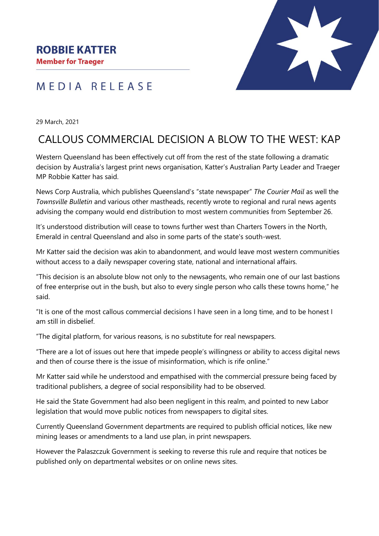### **ROBBIE KATTER**

**Member for Traeger** 

## MEDIA RELEASE



29 March, 2021

# CALLOUS COMMERCIAL DECISION A BLOW TO THE WEST: KAP

Western Queensland has been effectively cut off from the rest of the state following a dramatic decision by Australia's largest print news organisation, Katter's Australian Party Leader and Traeger MP Robbie Katter has said.

News Corp Australia, which publishes Queensland's "state newspaper" *The Courier Mail* as well the *Townsville Bulletin* and various other mastheads, recently wrote to regional and rural news agents advising the company would end distribution to most western communities from September 26.

It's understood distribution will cease to towns further west than Charters Towers in the North, Emerald in central Queensland and also in some parts of the state's south-west.

Mr Katter said the decision was akin to abandonment, and would leave most western communities without access to a daily newspaper covering state, national and international affairs.

"This decision is an absolute blow not only to the newsagents, who remain one of our last bastions of free enterprise out in the bush, but also to every single person who calls these towns home," he said.

"It is one of the most callous commercial decisions I have seen in a long time, and to be honest I am still in disbelief.

"The digital platform, for various reasons, is no substitute for real newspapers.

"There are a lot of issues out here that impede people's willingness or ability to access digital news and then of course there is the issue of misinformation, which is rife online."

Mr Katter said while he understood and empathised with the commercial pressure being faced by traditional publishers, a degree of social responsibility had to be observed.

He said the State Government had also been negligent in this realm, and pointed to new Labor legislation that would move public notices from newspapers to digital sites.

Currently Queensland Government departments are required to publish official notices, like new mining leases or amendments to a land use plan, in print newspapers.

However the Palaszczuk Government is seeking to reverse this rule and require that notices be published only on departmental websites or on online news sites.